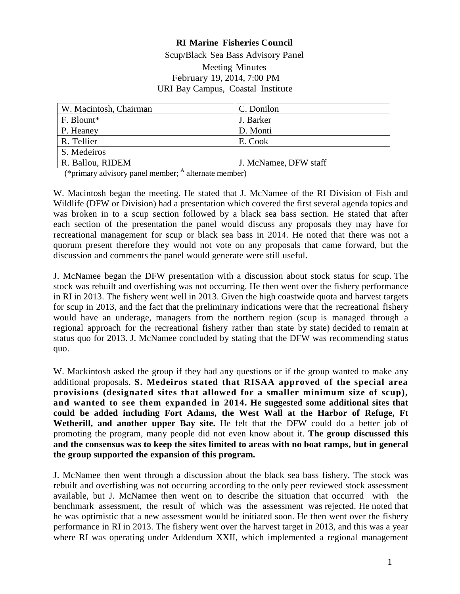#### **RI Marine Fisheries Council**

Scup/Black Sea Bass Advisory Panel Meeting Minutes February 19, 2014, 7:00 PM URI Bay Campus, Coastal Institute

| W. Macintosh, Chairman | C. Donilon            |
|------------------------|-----------------------|
| F. Blount*             | J. Barker             |
| P. Heaney              | D. Monti              |
| R. Tellier             | E. Cook               |
| S. Medeiros            |                       |
| R. Ballou, RIDEM       | J. McNamee, DFW staff |

(\*primary advisory panel member;  $<sup>A</sup>$  alternate member)</sup>

W. Macintosh began the meeting. He stated that J. McNamee of the RI Division of Fish and Wildlife (DFW or Division) had a presentation which covered the first several agenda topics and was broken in to a scup section followed by a black sea bass section. He stated that after each section of the presentation the panel would discuss any proposals they may have for recreational management for scup or black sea bass in 2014. He noted that there was not a quorum present therefore they would not vote on any proposals that came forward, but the discussion and comments the panel would generate were still useful.

J. McNamee began the DFW presentation with a discussion about stock status for scup. The stock was rebuilt and overfishing was not occurring. He then went over the fishery performance in RI in 2013. The fishery went well in 2013. Given the high coastwide quota and harvest targets for scup in 2013, and the fact that the preliminary indications were that the recreational fishery would have an underage, managers from the northern region (scup is managed through a regional approach for the recreational fishery rather than state by state) decided to remain at status quo for 2013. J. McNamee concluded by stating that the DFW was recommending status quo.

W. Mackintosh asked the group if they had any questions or if the group wanted to make any additional proposals. **S. Medeiros stated that RISAA approved of the special area provisions (designated sites that allowed for a smaller minimum size of scup), and wanted to see them expanded in 2014. He suggested some additional sites that could be added including Fort Adams, the West Wall at the Harbor of Refuge, Ft Wetherill, and another upper Bay site.** He felt that the DFW could do a better job of promoting the program, many people did not even know about it. **The group discussed this and the consensus was to keep the sites limited to areas with no boat ramps, but in general the group supported the expansion of this program.**

J. McNamee then went through a discussion about the black sea bass fishery. The stock was rebuilt and overfishing was not occurring according to the only peer reviewed stock assessment available, but J. McNamee then went on to describe the situation that occurred with the benchmark assessment, the result of which was the assessment was rejected. He noted that he was optimistic that a new assessment would be initiated soon. He then went over the fishery performance in RI in 2013. The fishery went over the harvest target in 2013, and this was a year where RI was operating under Addendum XXII, which implemented a regional management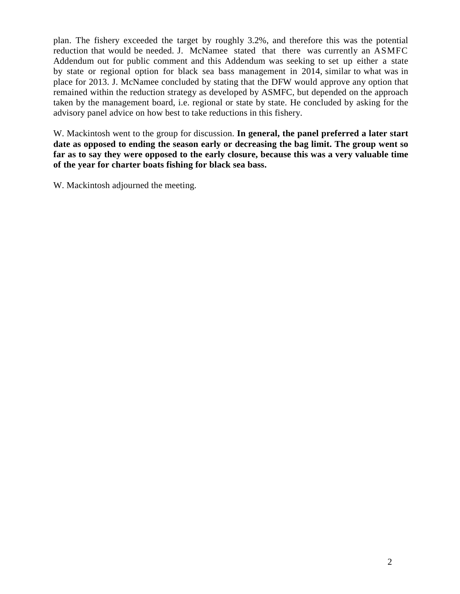plan. The fishery exceeded the target by roughly 3.2%, and therefore this was the potential reduction that would be needed. J. McNamee stated that there was currently an ASMFC Addendum out for public comment and this Addendum was seeking to set up either a state by state or regional option for black sea bass management in 2014, similar to what was in place for 2013. J. McNamee concluded by stating that the DFW would approve any option that remained within the reduction strategy as developed by ASMFC, but depended on the approach taken by the management board, i.e. regional or state by state. He concluded by asking for the advisory panel advice on how best to take reductions in this fishery.

W. Mackintosh went to the group for discussion. **In general, the panel preferred a later start date as opposed to ending the season early or decreasing the bag limit. The group went so far as to say they were opposed to the early closure, because this was a very valuable time of the year for charter boats fishing for black sea bass.**

W. Mackintosh adjourned the meeting.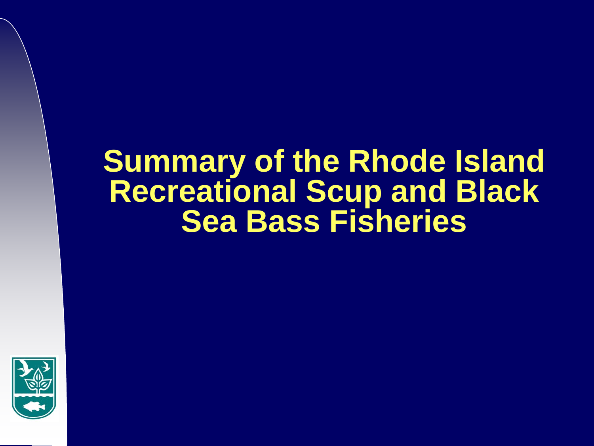# **Summary of the Rhode Island Recreational Scup and Black Sea Bass Fisheries**

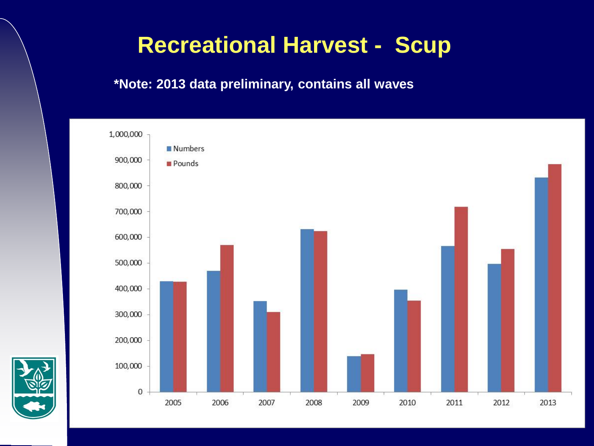# **Recreational Harvest - Scup**



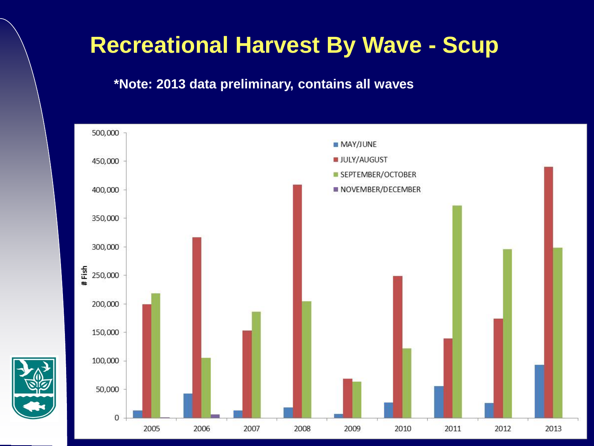# **Recreational Harvest By Wave - Scup**



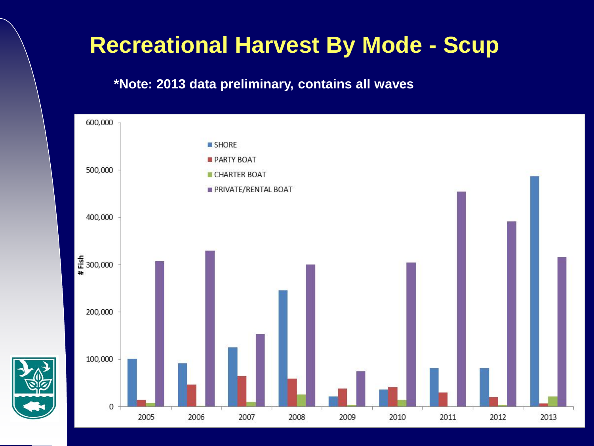# **Recreational Harvest By Mode - Scup**

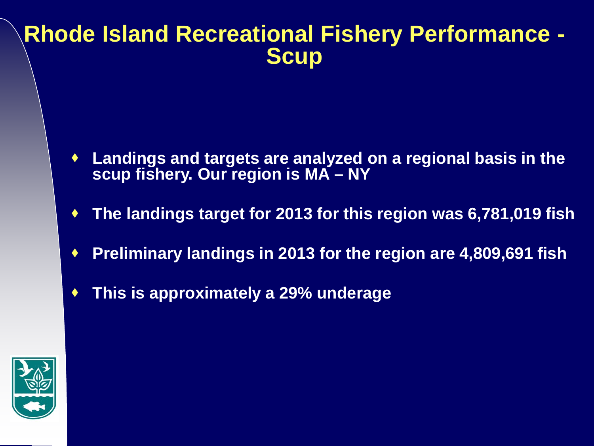# **Rhode Island Recreational Fishery Performance - Scup**

- **Landings and targets are analyzed on a regional basis in the scup fishery. Our region is MA – NY**
- **The landings target for 2013 for this region was 6,781,019 fish**
- **Preliminary landings in 2013 for the region are 4,809,691 fish**
- **This is approximately a 29% underage**

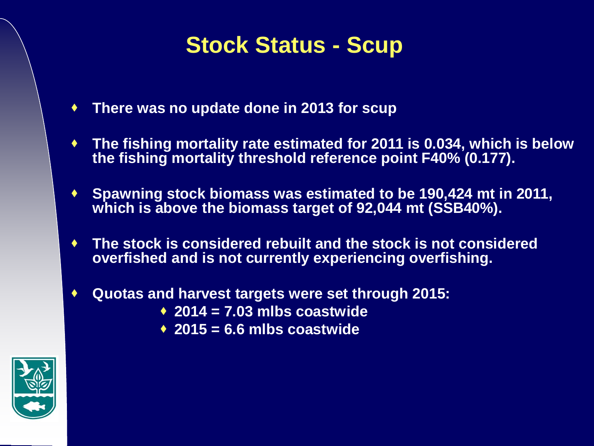# **Stock Status - Scup**

- **There was no update done in 2013 for scup**
- **The fishing mortality rate estimated for 2011 is 0.034, which is below the fishing mortality threshold reference point F40% (0.177).**
- ◆ Spawning stock biomass was estimated to be 190,424 mt in 2011, **which is above the biomass target of 92,044 mt (SSB40%).**
- **The stock is considered rebuilt and the stock is not considered overfished and is not currently experiencing overfishing.**
- **Quotas and harvest targets were set through 2015:**
	- **2014 = 7.03 mlbs coastwide**
	- **2015 = 6.6 mlbs coastwide**

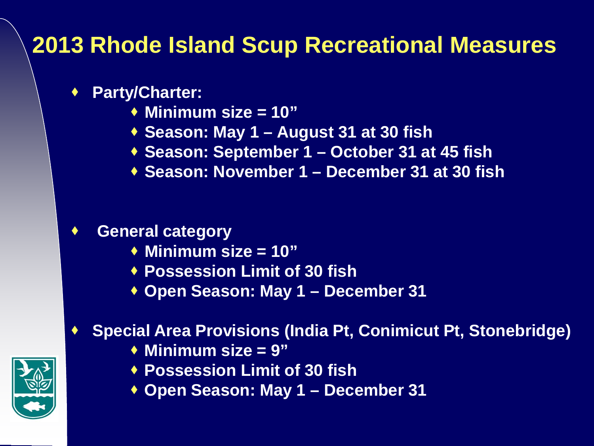# **2013 Rhode Island Scup Recreational Measures**

### **Party/Charter:**

- **Minimum size = 10"**
- **Season: May 1 – August 31 at 30 fish**
- **Season: September 1 – October 31 at 45 fish**
- **Season: November 1 – December 31 at 30 fish**

## **General category**

- **Minimum size = 10"**
- **Possession Limit of 30 fish**
- **Open Season: May 1 – December 31**

## **Special Area Provisions (India Pt, Conimicut Pt, Stonebridge)**

- **Minimum size = 9"**
- **Possession Limit of 30 fish**
- **Open Season: May 1 – December 31**

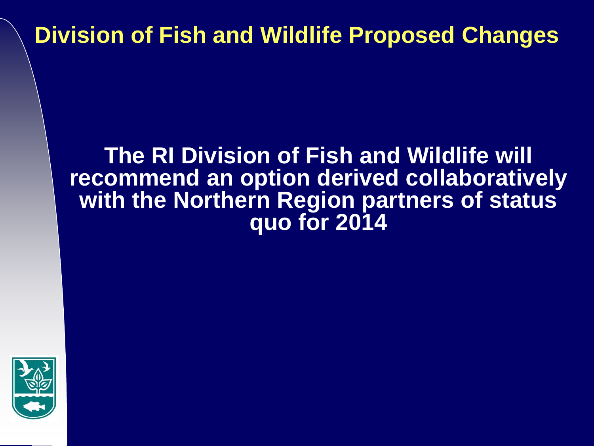# **Division of Fish and Wildlife Proposed Changes**

## **The RI Division of Fish and Wildlife will recommend an option derived collaboratively with the Northern Region partners of status quo for 2014**

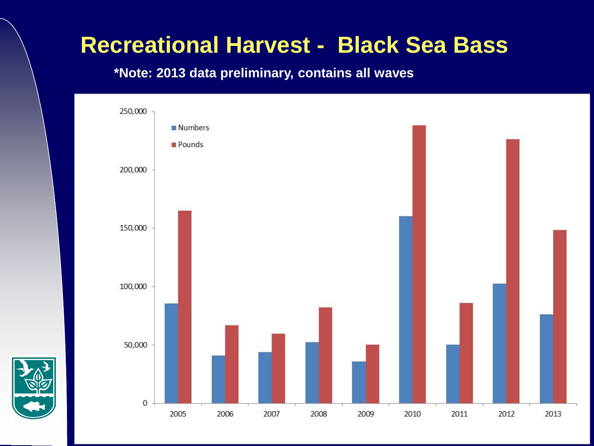# **Recreational Harvest - Black Sea Bass**



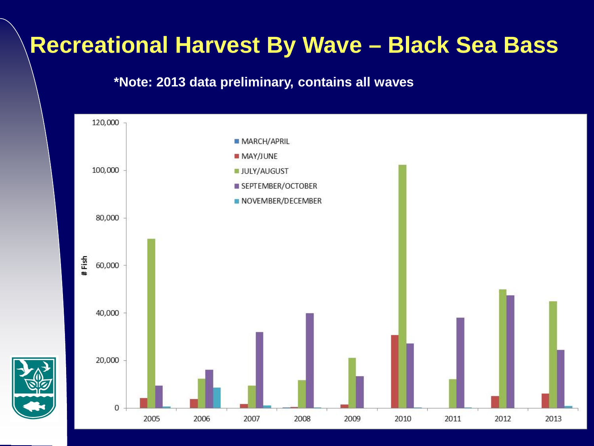# **Recreational Harvest By Wave – Black Sea Bass**

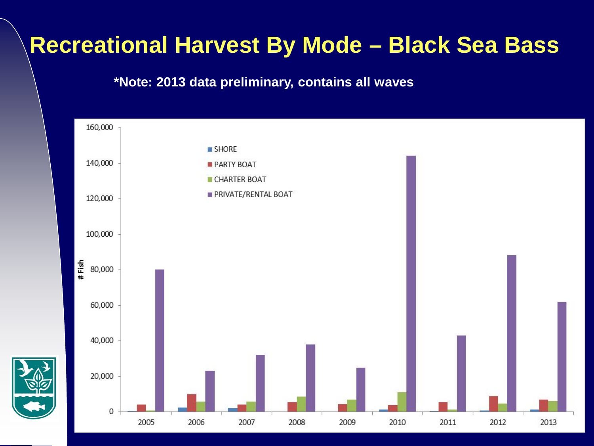# **Recreational Harvest By Mode – Black Sea Bass**

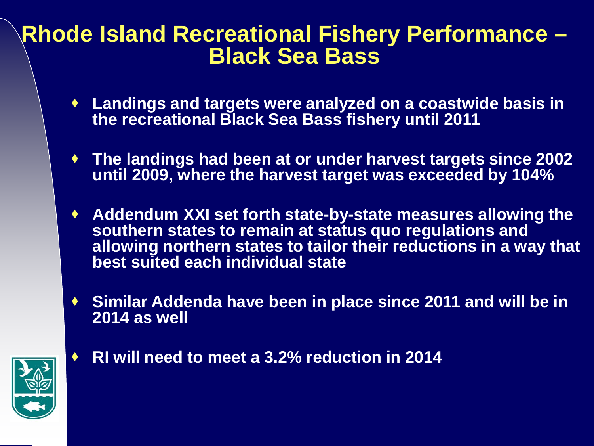# **Rhode Island Recreational Fishery Performance – Black Sea Bass**

- **Landings and targets were analyzed on a coastwide basis in the recreational Black Sea Bass fishery until 2011**
- **The landings had been at or under harvest targets since 2002 until 2009, where the harvest target was exceeded by 104%**
- **Addendum XXI set forth state-by-state measures allowing the southern states to remain at status quo regulations and allowing northern states to tailor their reductions in a way that best suited each individual state**
- **Similar Addenda have been in place since 2011 and will be in 2014 as well**



**RI will need to meet a 3.2% reduction in 2014**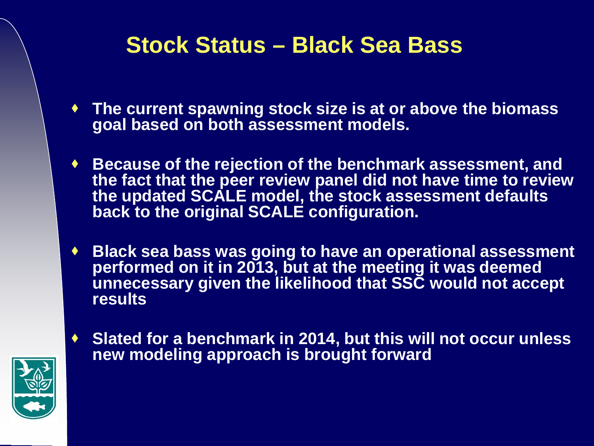# **Stock Status – Black Sea Bass**

- **The current spawning stock size is at or above the biomass goal based on both assessment models.**
- **Because of the rejection of the benchmark assessment, and the fact that the peer review panel did not have time to review the updated SCALE model, the stock assessment defaults back to the original SCALE configuration.**
- **Black sea bass was going to have an operational assessment performed on it in 2013, but at the meeting it was deemed unnecessary given the likelihood that SSC would not accept results**
- **Slated for a benchmark in 2014, but this will not occur unless new modeling approach is brought forward**

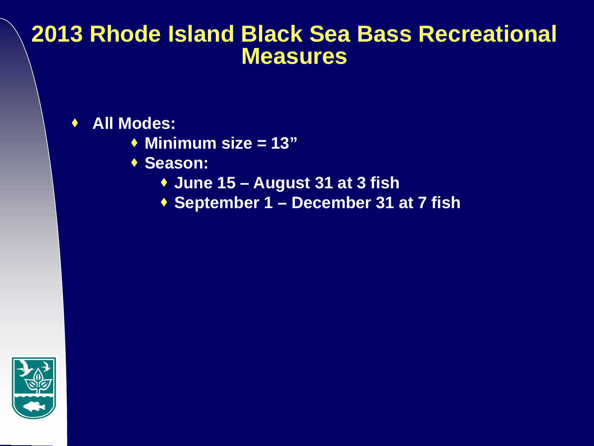## **2013 Rhode Island Black Sea Bass Recreational Measures**

**All Modes:**

- **Minimum size = 13"**
- ◆ Season:
	- **June 15 – August 31 at 3 fish**
	- **September 1 – December 31 at 7 fish**